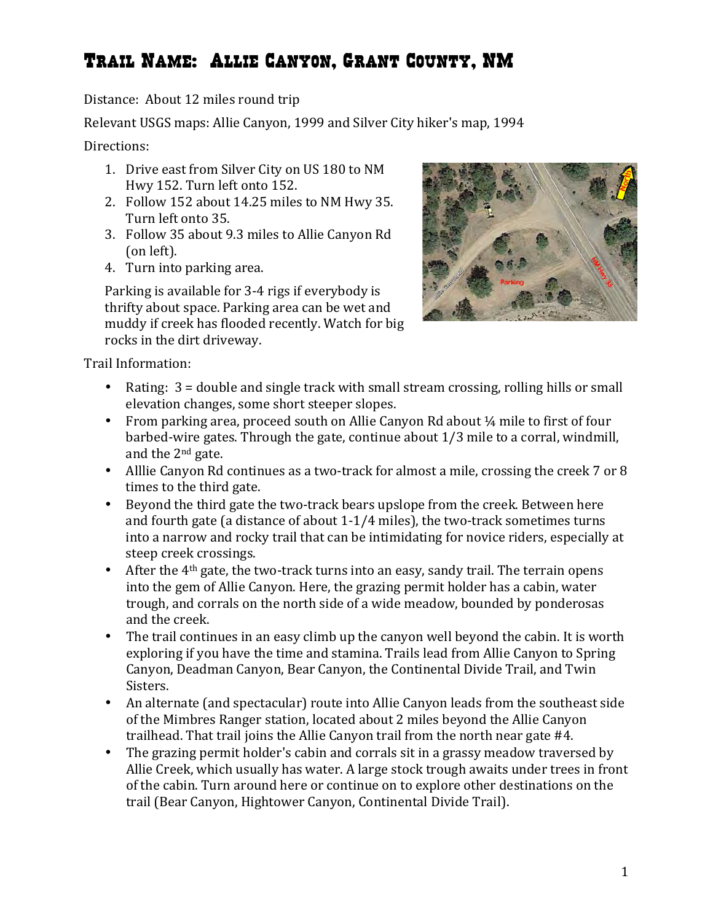## Trail Name: Allie Canyon, Grant County, NM

Distance: About 12 miles round trip

Relevant USGS maps: Allie Canyon, 1999 and Silver City hiker's map, 1994

Directions:

- 1. Drive east from Silver City on US 180 to NM Hwy 152. Turn left onto 152.
- 2. Follow 152 about 14.25 miles to NM Hwy 35. Turn left onto 35.
- 3. Follow 35 about 9.3 miles to Allie Canyon Rd (on left).
- 4. Turn into parking area.

Parking is available for 3-4 rigs if everybody is thrifty about space. Parking area can be wet and muddy if creek has flooded recently. Watch for big rocks in the dirt driveway.



Trail Information: 

- Rating:  $3 =$  double and single track with small stream crossing, rolling hills or small elevation changes, some short steeper slopes.
- From parking area, proceed south on Allie Canyon Rd about  $\frac{1}{4}$  mile to first of four barbed-wire gates. Through the gate, continue about  $1/3$  mile to a corral, windmill, and the  $2^{nd}$  gate.
- Alllie Canyon Rd continues as a two-track for almost a mile, crossing the creek 7 or 8 times to the third gate.
- Beyond the third gate the two-track bears upslope from the creek. Between here and fourth gate (a distance of about  $1-1/4$  miles), the two-track sometimes turns into a narrow and rocky trail that can be intimidating for novice riders, especially at steep creek crossings.
- After the  $4<sup>th</sup>$  gate, the two-track turns into an easy, sandy trail. The terrain opens into the gem of Allie Canyon. Here, the grazing permit holder has a cabin, water trough, and corrals on the north side of a wide meadow, bounded by ponderosas and the creek.
- The trail continues in an easy climb up the canyon well beyond the cabin. It is worth exploring if you have the time and stamina. Trails lead from Allie Canyon to Spring Canyon, Deadman Canyon, Bear Canyon, the Continental Divide Trail, and Twin Sisters.
- An alternate (and spectacular) route into Allie Canyon leads from the southeast side of the Mimbres Ranger station, located about 2 miles beyond the Allie Canyon trailhead. That trail joins the Allie Canyon trail from the north near gate  $#4$ .
- The grazing permit holder's cabin and corrals sit in a grassy meadow traversed by Allie Creek, which usually has water. A large stock trough awaits under trees in front of the cabin. Turn around here or continue on to explore other destinations on the trail (Bear Canyon, Hightower Canyon, Continental Divide Trail).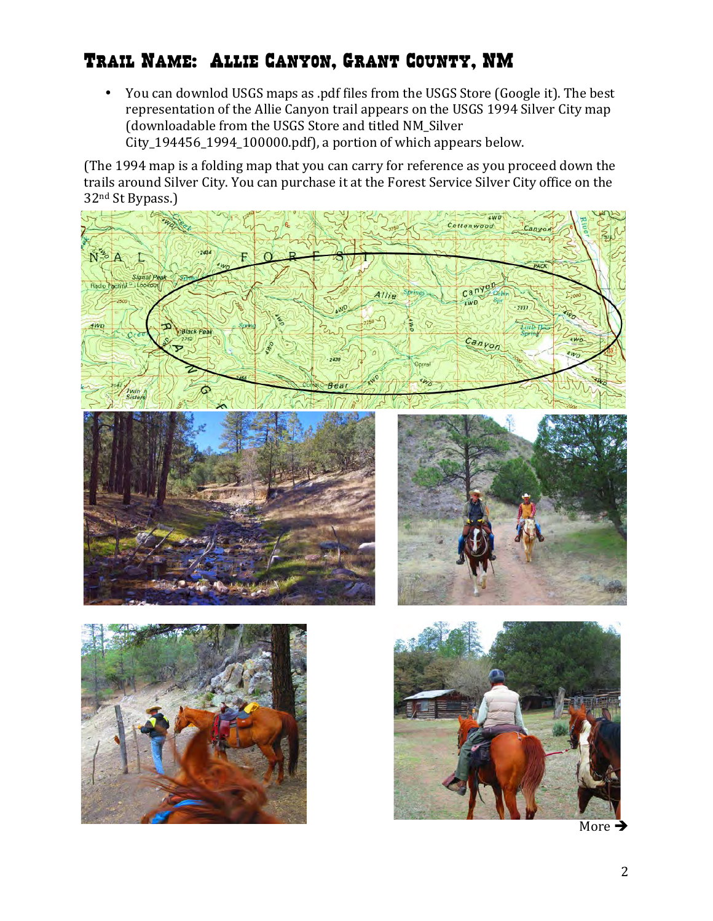## Trail Name: Allie Canyon, Grant County, NM

• You can downlod USGS maps as .pdf files from the USGS Store (Google it). The best representation of the Allie Canyon trail appears on the USGS 1994 Silver City map (downloadable from the USGS Store and titled NM\_Silver  $City_194456_1994_100000.pdf$ , a portion of which appears below.

(The 1994 map is a folding map that you can carry for reference as you proceed down the trails around Silver City. You can purchase it at the Forest Service Silver City office on the 32<sup>nd</sup> St Bypass.)



More  $\rightarrow$